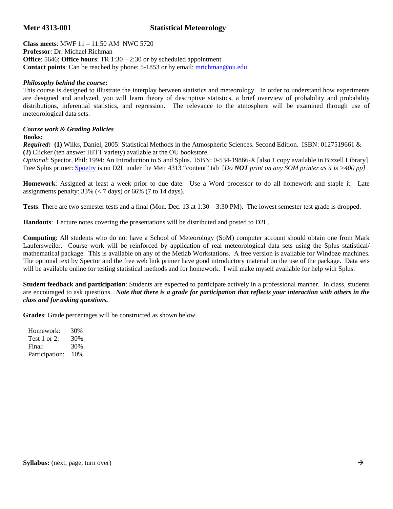## **Metr 4313-001 Statistical Meteorology**

**Class meets**: MWF 11 – 11:50 AM NWC 5720 **Professor**: Dr. Michael Richman **Office**: 5646; **Office hours**: TR 1:30 – 2:30 or by scheduled appointment **Contact points**: Can be reached by phone: 5-1853 or by email: **mrichman@ou.edu** 

## *Philosophy behind the course***:**

This course is designed to illustrate the interplay between statistics and meteorology. In order to understand how experiments are designed and analyzed, you will learn theory of descriptive statistics, a brief overview of probability and probability distributions, inferential statistics, and regression. The relevance to the atmosphere will be examined through use of meteorological data sets.

## *Course work & Grading Policies*

## **Books:**

*Required***: (1)** Wilks, Daniel, 2005: Statistical Methods in the Atmospheric Sciences. Second Edition. ISBN: 0127519661 & **(2)** Clicker (ten answer HITT variety) available at the OU bookstore.

*Optional*: Spector, Phil: 1994: An Introduction to S and Splus. ISBN: 0-534-19866-X [also 1 copy available in Bizzell Library] Free Splus primer: Spoetry is on D2L under the Metr 4313 "content" tab [*Do NOT print on any SOM printer as it is >400 pp]* 

**Homework**: Assigned at least a week prior to due date. Use a Word processor to do all homework and staple it. Late assignments penalty:  $33\%$  (< 7 days) or 66% (7 to 14 days).

**Tests**: There are two semester tests and a final (Mon. Dec. 13 at 1:30 – 3:30 PM). The lowest semester test grade is dropped.

**Handouts**: Lecture notes covering the presentations will be distributed and posted to D2L.

**Computing**: All students who do not have a School of Meteorology (SoM) computer account should obtain one from Mark Laufersweiler. Course work will be reinforced by application of real meteorological data sets using the Splus statistical/ mathematical package. This is available on any of the Metlab Workstations. A free version is available for Windoze machines. The optional text by Spector and the free web link primer have good introductory material on the use of the package. Data sets will be available online for testing statistical methods and for homework. I will make myself available for help with Splus.

**Student feedback and participation**: Students are expected to participate actively in a professional manner. In class, students are encouraged to ask questions. *Note that there is a grade for participation that reflects your interaction with others in the class and for asking questions.*

**Grades**: Grade percentages will be constructed as shown below.

 Homework: 30% Test 1 or 2: 30% Final: 30% Participation: 10%